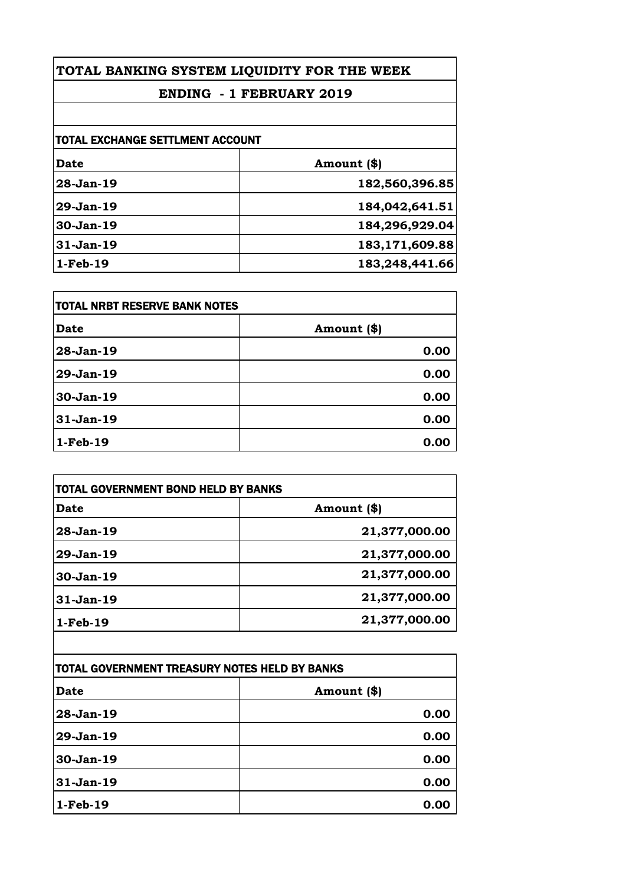## **ENDING - 1 FEBRUARY 2019**

| TOTAL EXCHANGE SETTLMENT ACCOUNT |                   |
|----------------------------------|-------------------|
| Date                             | Amount (\$)       |
| 28-Jan-19                        | 182,560,396.85    |
| $29-Jan-19$                      | 184,042,641.51    |
| $30-Jan-19$                      | 184,296,929.04    |
| $31-Jan-19$                      | 183, 171, 609. 88 |
| $1-Feb-19$                       | 183,248,441.66    |

| <b>TOTAL NRBT RESERVE BANK NOTES</b> |             |
|--------------------------------------|-------------|
| <b>Date</b>                          | Amount (\$) |
| 28-Jan-19                            | 0.00        |
| 29-Jan-19                            | 0.00        |
| 30-Jan-19                            | 0.00        |
| $31-Jan-19$                          | 0.00        |
| $1-Feb-19$                           | 0.00        |

| Date          | Amount (\$)   |
|---------------|---------------|
| $28 - Jan-19$ | 21,377,000.00 |
| $29-Jan-19$   | 21,377,000.00 |
| 30-Jan-19     | 21,377,000.00 |
| 31-Jan-19     | 21,377,000.00 |
| $1-Feb-19$    | 21,377,000.00 |

| TOTAL GOVERNMENT TREASURY NOTES HELD BY BANKS |             |
|-----------------------------------------------|-------------|
| <b>Date</b>                                   | Amount (\$) |
| 28-Jan-19                                     | 0.00        |
| 29-Jan-19                                     | 0.00        |
| 30-Jan-19                                     | 0.00        |
| 31-Jan-19                                     | 0.00        |
| $1-Feb-19$                                    | 0.00        |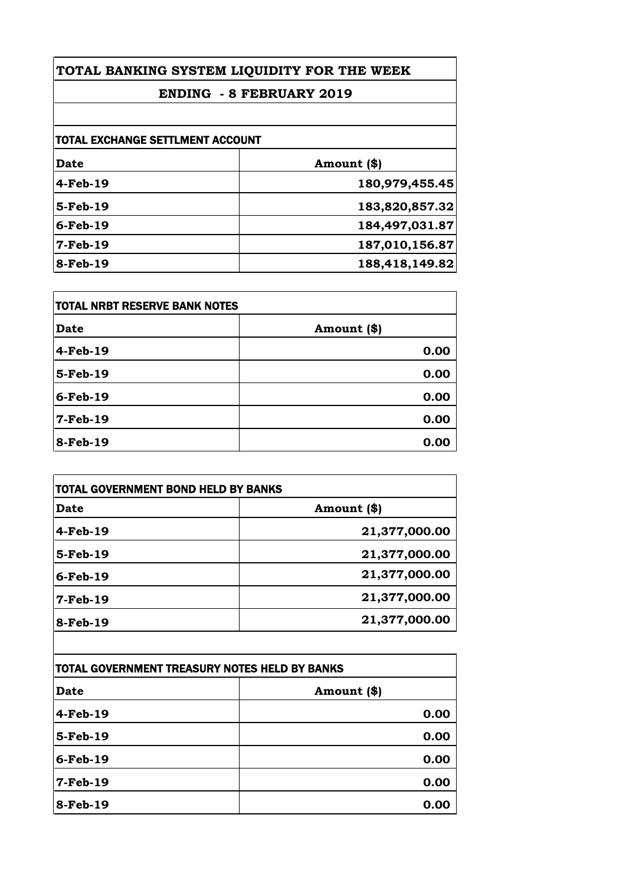## **ENDING - 8 FEBRUARY 2019**

| <b>TOTAL EXCHANGE SETTLMENT ACCOUNT</b> |                |
|-----------------------------------------|----------------|
|                                         |                |
| 4-Feb-19                                | 180,979,455.45 |
| 5-Feb-19                                | 183,820,857.32 |
| $6$ -Feb-19                             | 184,497,031.87 |
| <b>7-Feb-19</b>                         | 187,010,156.87 |
| 8-Feb-19                                | 188,418,149.82 |

| <b>TOTAL NRBT RESERVE BANK NOTES</b> |             |
|--------------------------------------|-------------|
| <b>Date</b>                          | Amount (\$) |
| 4-Feb-19                             | 0.00        |
| 5-Feb-19                             | 0.00        |
| $6$ -Feb-19                          | 0.00        |
| $7-Feb-19$                           | 0.00        |
| 8-Feb-19                             | 0.00        |

| <b>TOTAL GOVERNMENT BOND HELD BY BANKS</b> |  |
|--------------------------------------------|--|
| Amount (\$)                                |  |
| 21,377,000.00                              |  |
| 21,377,000.00                              |  |
| 21,377,000.00                              |  |
| 21,377,000.00                              |  |
| 21,377,000.00                              |  |
|                                            |  |

| TOTAL GOVERNMENT TREASURY NOTES HELD BY BANKS |             |
|-----------------------------------------------|-------------|
| <b>Date</b>                                   | Amount (\$) |
| 4-Feb-19                                      | 0.00        |
| 5-Feb-19                                      | 0.00        |
| $6$ -Feb-19                                   | 0.00        |
| $7-Feb-19$                                    | 0.00        |
| 8-Feb-19                                      | 0.00        |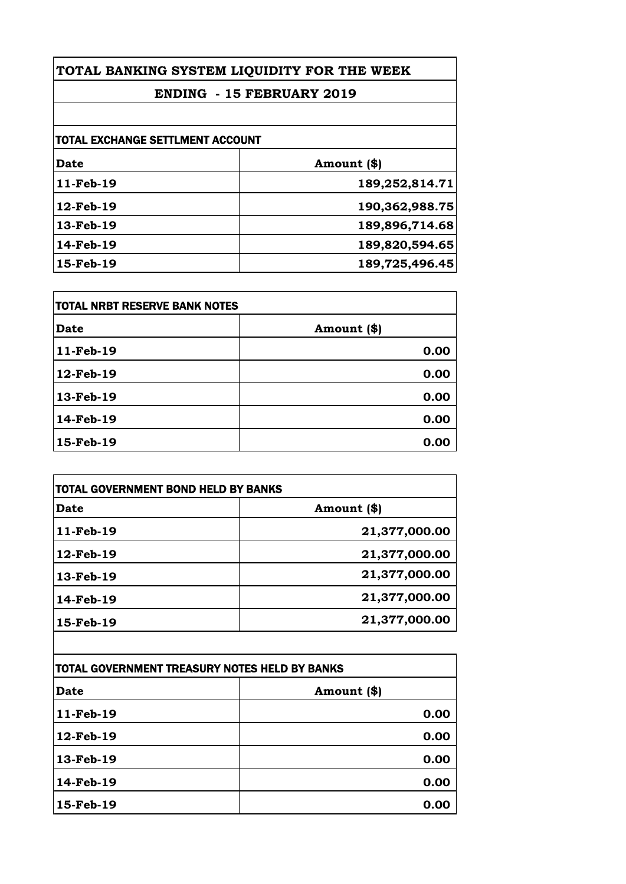## **ENDING - 15 FEBRUARY 2019**

| <b>TOTAL EXCHANGE SETTLMENT ACCOUNT</b> |                |
|-----------------------------------------|----------------|
| <b>Date</b>                             | Amount (\$)    |
| 11-Feb-19                               | 189,252,814.71 |
| 12-Feb-19                               | 190,362,988.75 |
| 13-Feb-19                               | 189,896,714.68 |
| 14-Feb-19                               | 189,820,594.65 |
| 15-Feb-19                               | 189,725,496.45 |

| <b>TOTAL NRBT RESERVE BANK NOTES</b> |             |
|--------------------------------------|-------------|
| <b>Date</b>                          | Amount (\$) |
| 11-Feb-19                            | 0.00        |
| 12-Feb-19                            | 0.00        |
| 13-Feb-19                            | 0.00        |
| 14-Feb-19                            | 0.00        |
| 15-Feb-19                            | 0.00        |

| <b>TOTAL GOVERNMENT BOND HELD BY BANKS</b> |               |
|--------------------------------------------|---------------|
| <b>Date</b>                                | Amount (\$)   |
| 11-Feb-19                                  | 21,377,000.00 |
| 12-Feb-19                                  | 21,377,000.00 |
| 13-Feb-19                                  | 21,377,000.00 |
| 14-Feb-19                                  | 21,377,000.00 |
| 15-Feb-19                                  | 21,377,000.00 |
|                                            |               |

| <b>TOTAL GOVERNMENT TREASURY NOTES HELD BY BANKS</b> |             |
|------------------------------------------------------|-------------|
| <b>Date</b>                                          | Amount (\$) |
| 11-Feb-19                                            | 0.00        |
| 12-Feb-19                                            | 0.00        |
| 13-Feb-19                                            | 0.00        |
| 14-Feb-19                                            | 0.00        |
| 15-Feb-19                                            | 0.00        |